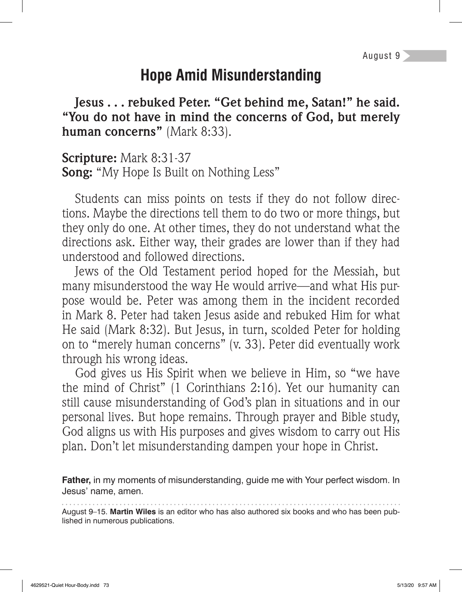#### **Hope Amid Misunderstanding**

**Jesus . . . rebuked Peter. "Get behind me, Satan!" he said. "You do not have in mind the concerns of God, but merely human concerns"** (Mark 8:33).

**Scripture:** Mark 8:31-37 **Song:** "My Hope Is Built on Nothing Less"

Students can miss points on tests if they do not follow directions. Maybe the directions tell them to do two or more things, but they only do one. At other times, they do not understand what the directions ask. Either way, their grades are lower than if they had understood and followed directions.

Jews of the Old Testament period hoped for the Messiah, but many misunderstood the way He would arrive—and what His purpose would be. Peter was among them in the incident recorded in Mark 8. Peter had taken Jesus aside and rebuked Him for what He said (Mark 8:32). But Jesus, in turn, scolded Peter for holding on to "merely human concerns" (v. 33). Peter did eventually work through his wrong ideas.

God gives us His Spirit when we believe in Him, so "we have the mind of Christ" (1 Corinthians 2:16). Yet our humanity can still cause misunderstanding of God's plan in situations and in our personal lives. But hope remains. Through prayer and Bible study, God aligns us with His purposes and gives wisdom to carry out His plan. Don't let misunderstanding dampen your hope in Christ.

**Father,** in my moments of misunderstanding, guide me with Your perfect wisdom. In Jesus' name, amen.

August 9–15. **Martin Wiles** is an editor who has also authored six books and who has been published in numerous publications.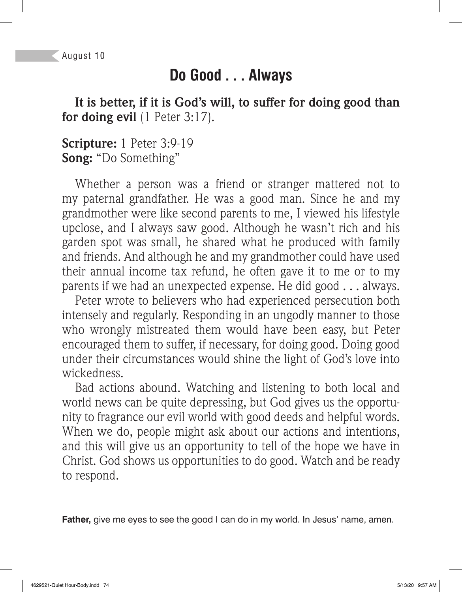### **Do Good . . . Always**

**It is better, if it is God's will, to suffer for doing good than for doing evil** (1 Peter 3:17).

#### **Scripture:** 1 Peter 3:9-19 **Song:** "Do Something"

Whether a person was a friend or stranger mattered not to my paternal grandfather. He was a good man. Since he and my grandmother were like second parents to me, I viewed his lifestyle upclose, and I always saw good. Although he wasn't rich and his garden spot was small, he shared what he produced with family and friends. And although he and my grandmother could have used their annual income tax refund, he often gave it to me or to my parents if we had an unexpected expense. He did good . . . always.

Peter wrote to believers who had experienced persecution both intensely and regularly. Responding in an ungodly manner to those who wrongly mistreated them would have been easy, but Peter encouraged them to suffer, if necessary, for doing good. Doing good under their circumstances would shine the light of God's love into wickedness.

Bad actions abound. Watching and listening to both local and world news can be quite depressing, but God gives us the opportunity to fragrance our evil world with good deeds and helpful words. When we do, people might ask about our actions and intentions, and this will give us an opportunity to tell of the hope we have in Christ. God shows us opportunities to do good. Watch and be ready to respond.

**Father,** give me eyes to see the good I can do in my world. In Jesus' name, amen.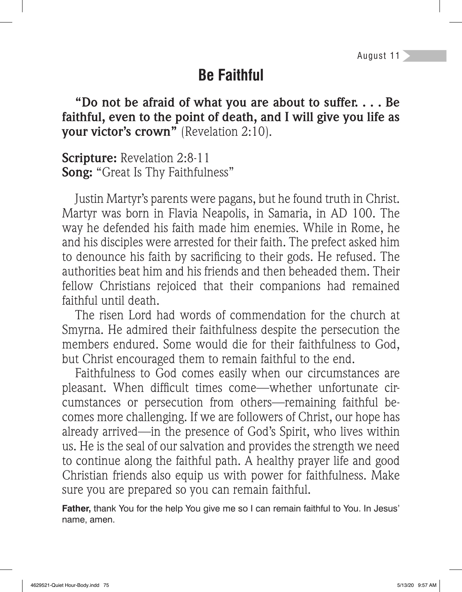## **Be Faithful**

**"Do not be afraid of what you are about to suffer. . . . Be faithful, even to the point of death, and I will give you life as your victor's crown"** (Revelation 2:10).

**Scripture:** Revelation 2:8-11 **Song:** "Great Is Thy Faithfulness"

Justin Martyr's parents were pagans, but he found truth in Christ. Martyr was born in Flavia Neapolis, in Samaria, in AD 100. The way he defended his faith made him enemies. While in Rome, he and his disciples were arrested for their faith. The prefect asked him to denounce his faith by sacrificing to their gods. He refused. The authorities beat him and his friends and then beheaded them. Their fellow Christians rejoiced that their companions had remained faithful until death.

The risen Lord had words of commendation for the church at Smyrna. He admired their faithfulness despite the persecution the members endured. Some would die for their faithfulness to God, but Christ encouraged them to remain faithful to the end.

Faithfulness to God comes easily when our circumstances are pleasant. When difficult times come—whether unfortunate circumstances or persecution from others—remaining faithful becomes more challenging. If we are followers of Christ, our hope has already arrived—in the presence of God's Spirit, who lives within us. He is the seal of our salvation and provides the strength we need to continue along the faithful path. A healthy prayer life and good Christian friends also equip us with power for faithfulness. Make sure you are prepared so you can remain faithful.

**Father,** thank You for the help You give me so I can remain faithful to You. In Jesus' name, amen.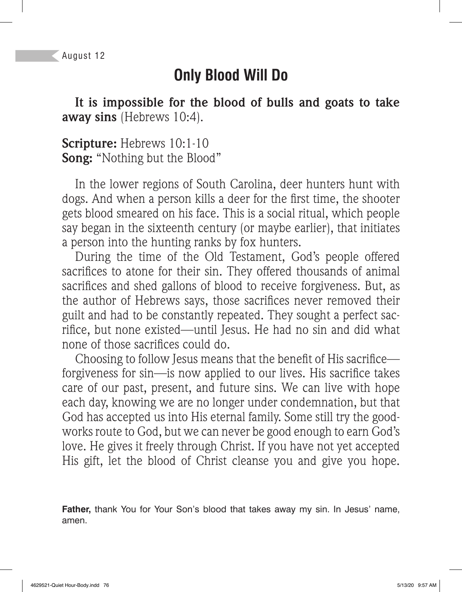# **Only Blood Will Do**

**It is impossible for the blood of bulls and goats to take away sins** (Hebrews 10:4).

**Scripture:** Hebrews 10:1-10 **Song:** "Nothing but the Blood"

In the lower regions of South Carolina, deer hunters hunt with dogs. And when a person kills a deer for the first time, the shooter gets blood smeared on his face. This is a social ritual, which people say began in the sixteenth century (or maybe earlier), that initiates a person into the hunting ranks by fox hunters.

During the time of the Old Testament, God's people offered sacrifices to atone for their sin. They offered thousands of animal sacrifices and shed gallons of blood to receive forgiveness. But, as the author of Hebrews says, those sacrifices never removed their guilt and had to be constantly repeated. They sought a perfect sacrifice, but none existed—until Jesus. He had no sin and did what none of those sacrifices could do.

Choosing to follow Jesus means that the benefit of His sacrifice forgiveness for sin—is now applied to our lives. His sacrifice takes care of our past, present, and future sins. We can live with hope each day, knowing we are no longer under condemnation, but that God has accepted us into His eternal family. Some still try the goodworks route to God, but we can never be good enough to earn God's love. He gives it freely through Christ. If you have not yet accepted His gift, let the blood of Christ cleanse you and give you hope.

**Father,** thank You for Your Son's blood that takes away my sin. In Jesus' name, amen.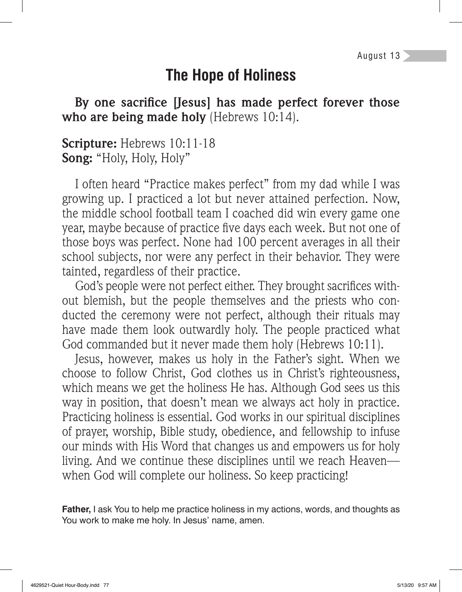# **The Hope of Holiness**

By one sacrifice [Jesus] has made perfect forever those **who are being made holy** (Hebrews 10:14).

#### **Scripture:** Hebrews 10:11-18 **Song:** "Holy, Holy, Holy"

I often heard "Practice makes perfect" from my dad while I was growing up. I practiced a lot but never attained perfection. Now, the middle school football team I coached did win every game one year, maybe because of practice five days each week. But not one of those boys was perfect. None had 100 percent averages in all their school subjects, nor were any perfect in their behavior. They were tainted, regardless of their practice.

God's people were not perfect either. They brought sacrifices without blemish, but the people themselves and the priests who conducted the ceremony were not perfect, although their rituals may have made them look outwardly holy. The people practiced what God commanded but it never made them holy (Hebrews 10:11).

Jesus, however, makes us holy in the Father's sight. When we choose to follow Christ, God clothes us in Christ's righteousness, which means we get the holiness He has. Although God sees us this way in position, that doesn't mean we always act holy in practice. Practicing holiness is essential. God works in our spiritual disciplines of prayer, worship, Bible study, obedience, and fellowship to infuse our minds with His Word that changes us and empowers us for holy living. And we continue these disciplines until we reach Heaven when God will complete our holiness. So keep practicing!

**Father,** I ask You to help me practice holiness in my actions, words, and thoughts as You work to make me holy. In Jesus' name, amen.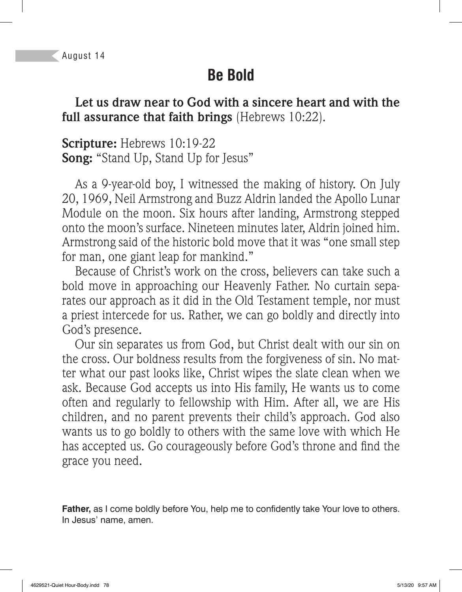# **Be Bold**

**Let us draw near to God with a sincere heart and with the full assurance that faith brings** (Hebrews 10:22).

**Scripture:** Hebrews 10:19-22 **Song:** "Stand Up, Stand Up for Jesus"

As a 9-year-old boy, I witnessed the making of history. On July 20, 1969, Neil Armstrong and Buzz Aldrin landed the Apollo Lunar Module on the moon. Six hours after landing, Armstrong stepped onto the moon's surface. Nineteen minutes later, Aldrin joined him. Armstrong said of the historic bold move that it was "one small step for man, one giant leap for mankind."

Because of Christ's work on the cross, believers can take such a bold move in approaching our Heavenly Father. No curtain separates our approach as it did in the Old Testament temple, nor must a priest intercede for us. Rather, we can go boldly and directly into God's presence.

Our sin separates us from God, but Christ dealt with our sin on the cross. Our boldness results from the forgiveness of sin. No matter what our past looks like, Christ wipes the slate clean when we ask. Because God accepts us into His family, He wants us to come often and regularly to fellowship with Him. After all, we are His children, and no parent prevents their child's approach. God also wants us to go boldly to others with the same love with which He has accepted us. Go courageously before God's throne and find the grace you need.

**Father,** as I come boldly before You, help me to confidently take Your love to others. In Jesus' name, amen.